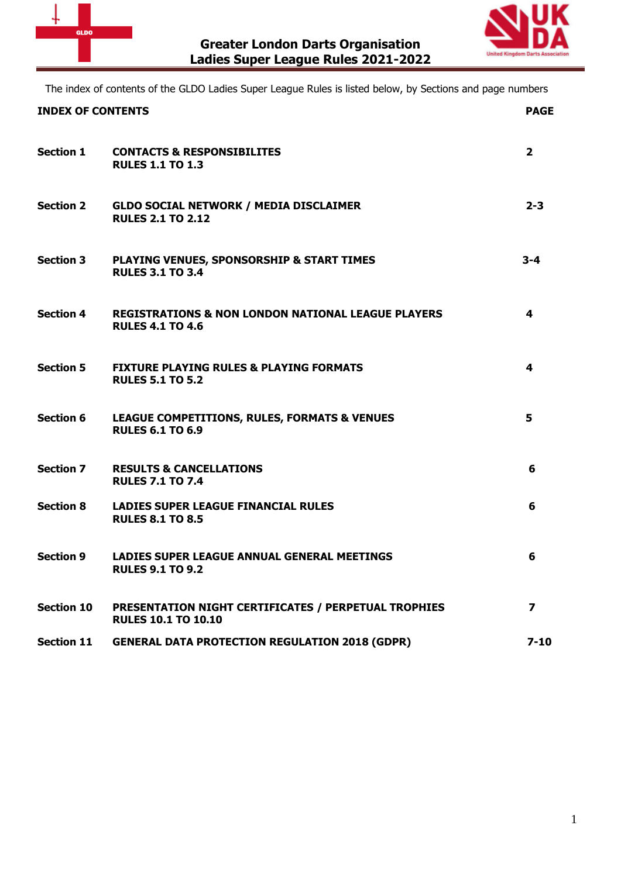



The index of contents of the GLDO Ladies Super League Rules is listed below, by Sections and page numbers

| <b>INDEX OF CONTENTS</b> |                                                                                          | <b>PAGE</b>             |
|--------------------------|------------------------------------------------------------------------------------------|-------------------------|
| <b>Section 1</b>         | <b>CONTACTS &amp; RESPONSIBILITES</b><br><b>RULES 1.1 TO 1.3</b>                         | $\overline{2}$          |
| <b>Section 2</b>         | <b>GLDO SOCIAL NETWORK / MEDIA DISCLAIMER</b><br><b>RULES 2.1 TO 2.12</b>                | $2 - 3$                 |
| <b>Section 3</b>         | <b>PLAYING VENUES, SPONSORSHIP &amp; START TIMES</b><br><b>RULES 3.1 TO 3.4</b>          | $3 - 4$                 |
| <b>Section 4</b>         | <b>REGISTRATIONS &amp; NON LONDON NATIONAL LEAGUE PLAYERS</b><br><b>RULES 4.1 TO 4.6</b> | 4                       |
| <b>Section 5</b>         | <b>FIXTURE PLAYING RULES &amp; PLAYING FORMATS</b><br><b>RULES 5.1 TO 5.2</b>            | 4                       |
| <b>Section 6</b>         | <b>LEAGUE COMPETITIONS, RULES, FORMATS &amp; VENUES</b><br><b>RULES 6.1 TO 6.9</b>       | 5                       |
| <b>Section 7</b>         | <b>RESULTS &amp; CANCELLATIONS</b><br><b>RULES 7.1 TO 7.4</b>                            | 6                       |
| <b>Section 8</b>         | <b>LADIES SUPER LEAGUE FINANCIAL RULES</b><br><b>RULES 8.1 TO 8.5</b>                    | 6                       |
| <b>Section 9</b>         | <b>LADIES SUPER LEAGUE ANNUAL GENERAL MEETINGS</b><br><b>RULES 9.1 TO 9.2</b>            | 6                       |
| <b>Section 10</b>        | PRESENTATION NIGHT CERTIFICATES / PERPETUAL TROPHIES<br><b>RULES 10.1 TO 10.10</b>       | $\overline{\mathbf{z}}$ |
| <b>Section 11</b>        | <b>GENERAL DATA PROTECTION REGULATION 2018 (GDPR)</b>                                    | $7 - 10$                |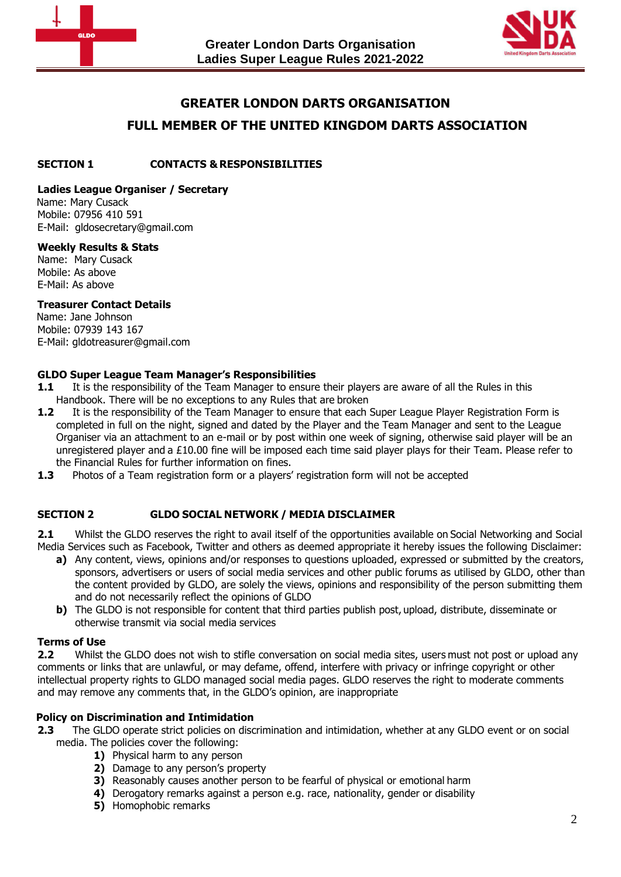



# **GREATER LONDON DARTS ORGANISATION**

# **FULL MEMBER OF THE UNITED KINGDOM DARTS ASSOCIATION**

### **SECTION 1 CONTACTS & RESPONSIBILITIES**

### **Ladies League Organiser / Secretary**

 Name: Mary Cusack Mobile: 07956 410 591 E-Mail: gldosecretary@gmail.com

### **Weekly Results & Stats**

Name: Mary Cusack Mobile: As above E-Mail: As above

### **Treasurer Contact Details**

 Name: Jane Johnson Mobile: 07939 143 167 E-Mail: gldotreasurer@gmail.com

# **GLDO Super League Team Manager's Responsibilities**

- **1.1** It is the responsibility of the Team Manager to ensure their players are aware of all the Rules in this Handbook. There will be no exceptions to any Rules that are broken
- **1.2** It is the responsibility of the Team Manager to ensure that each Super League Player Registration Form is completed in full on the night, signed and dated by the Player and the Team Manager and sent to the League Organiser via an attachment to an e-mail or by post within one week of signing, otherwise said player will be an unregistered player and a £10.00 fine will be imposed each time said player plays for their Team. Please refer to the Financial Rules for further information on fines.
- <span id="page-1-0"></span>**1.3** Photos of a Team registration form or a players' registration form will not be accepted

# **SECTION 2 GLDO SOCIAL NETWORK / MEDIA DISCLAIMER**

**2.1** Whilst the GLDO reserves the right to avail itself of the opportunities available on Social Networking and Social Media Services such as Facebook, Twitter and others as deemed appropriate it hereby issues the following Disclaimer:

- **a)** Any content, views, opinions and/or responses to questions uploaded, expressed or submitted by the creators, sponsors, advertisers or users of social media services and other public forums as utilised by GLDO, other than the content provided by GLDO, are solely the views, opinions and responsibility of the person submitting them and do not necessarily reflect the opinions of GLDO
- **b)** The GLDO is not responsible for content that third parties publish post, upload, distribute, disseminate or otherwise transmit via social media services

### **Terms of Use**

**2.2** Whilst the GLDO does not wish to stifle conversation on social media sites, users must not post or upload any comments or links that are unlawful, or may defame, offend, interfere with privacy or infringe copyright or other intellectual property rights to GLDO managed social media pages. GLDO reserves the right to moderate comments and may remove any comments that, in the GLDO's opinion, are inappropriate

### **Policy on Discrimination and Intimidation**

- **2.3** The GLDO operate strict policies on discrimination and intimidation, whether at any GLDO event or on social media. The policies cover the following:
	- **1)** Physical harm to any person
	- **2)** Damage to any person's property
	- **3)** Reasonably causes another person to be fearful of physical or emotional harm
	- **4)** Derogatory remarks against a person e.g. race, nationality, gender or disability
	- **5)** Homophobic remarks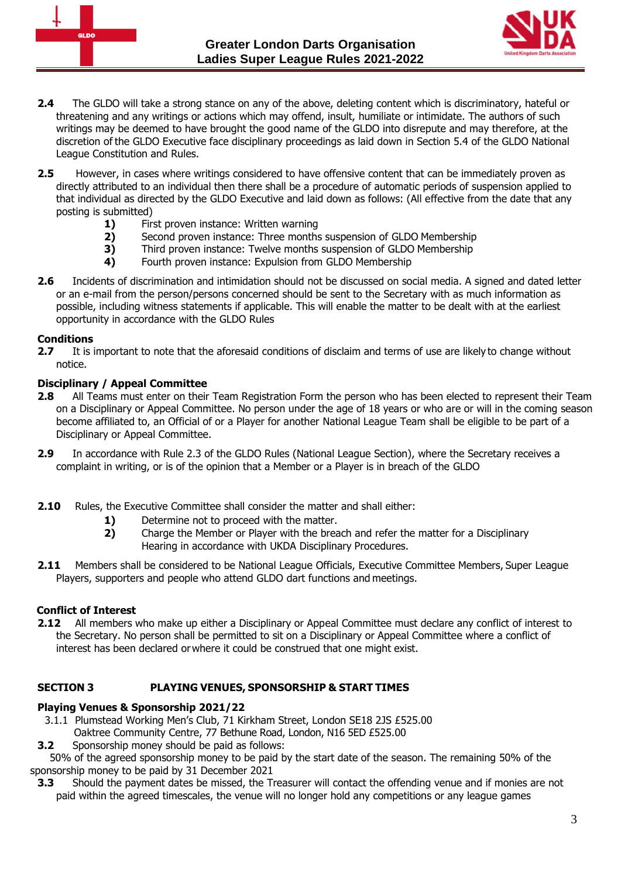



- **2.4** The GLDO will take a strong stance on any of the above, deleting content which is discriminatory, hateful or threatening and any writings or actions which may offend, insult, humiliate or intimidate. The authors of such writings may be deemed to have brought the good name of the GLDO into disrepute and may therefore, at the discretion of the GLDO Executive face disciplinary proceedings as laid down in Section 5.4 of the GLDO National League Constitution and Rules.
- **2.5** However, in cases where writings considered to have offensive content that can be immediately proven as directly attributed to an individual then there shall be a procedure of automatic periods of suspension applied to that individual as directed by the GLDO Executive and laid down as follows: (All effective from the date that any posting is submitted)
	- **1)** First proven instance: Written warning<br>**2)** Second proven instance: Three months
	- **2)** Second proven instance: Three months suspension of GLDO Membership<br>**3)** Third proven instance: Twelve months suspension of GLDO Membership
	- **3)** Third proven instance: Twelve months suspension of GLDO Membership<br>**4)** Fourth proven instance: Expulsion from GLDO Membership
	- **4)** Fourth proven instance: Expulsion from GLDO Membership
- **2.6** Incidents of discrimination and intimidation should not be discussed on social media. A signed and dated letter or an e-mail from the person/persons concerned should be sent to the Secretary with as much information as possible, including witness statements if applicable. This will enable the matter to be dealt with at the earliest opportunity in accordance with the GLDO Rules

# **Conditions**

**2.7** It is important to note that the aforesaid conditions of disclaim and terms of use are likely to change without notice.

# **Disciplinary / Appeal Committee**

- **2.8** All Teams must enter on their Team Registration Form the person who has been elected to represent their Team on a Disciplinary or Appeal Committee. No person under the age of 18 years or who are or will in the coming season become affiliated to, an Official of or a Player for another National League Team shall be eligible to be part of a Disciplinary or Appeal Committee.
- **2.9** In accordance with Rule 2.3 of the GLDO Rules (National League Section), where the Secretary receives a complaint in writing, or is of the opinion that a Member or a Player is in breach of the GLDO
- **2.10** Rules, the Executive Committee shall consider the matter and shall either:
	- **1)** Determine not to proceed with the matter.
	- **2)** Charge the Member or Player with the breach and refer the matter for a Disciplinary Hearing in accordance with UKDA Disciplinary Procedures.
- **2.11** Members shall be considered to be National League Officials, Executive Committee Members, Super League Players, supporters and people who attend GLDO dart functions and meetings.

# **Conflict of Interest**

**2.12** All members who make up either a Disciplinary or Appeal Committee must declare any conflict of interest to the Secretary. No person shall be permitted to sit on a Disciplinary or Appeal Committee where a conflict of interest has been declared orwhere it could be construed that one might exist.

# <span id="page-2-0"></span>**SECTION 3 PLAYING VENUES, SPONSORSHIP & START TIMES**

# **Playing Venues & Sponsorship 2021/22**

- 3.1.1 Plumstead Working Men's Club, 71 Kirkham Street, London SE18 2JS £525.00
- Oaktree Community Centre, 77 Bethune Road, London, N16 5ED £525.00
- **3.2** Sponsorship money should be paid as follows:

 50% of the agreed sponsorship money to be paid by the start date of the season. The remaining 50% of the sponsorship money to be paid by 31 December 2021

**3.3** Should the payment dates be missed, the Treasurer will contact the offending venue and if monies are not paid within the agreed timescales, the venue will no longer hold any competitions or any league games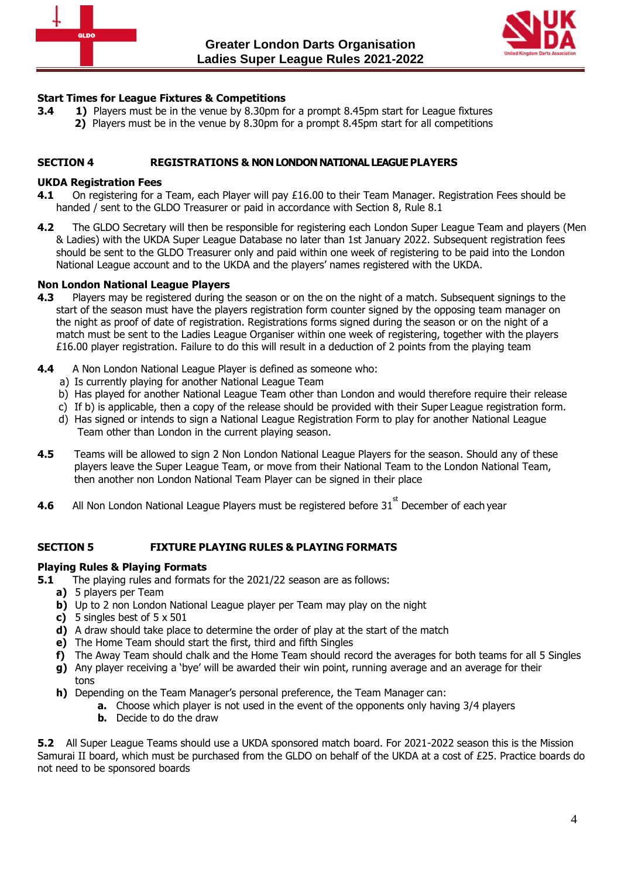



### **Start Times for League Fixtures & Competitions**

- <span id="page-3-0"></span>**3.4 <b>1)** Players must be in the venue by 8.30pm for a prompt 8.45pm start for League fixtures
	- **2)** Players must be in the venue by 8.30pm for a prompt 8.45pm start for all competitions

### **SECTION 4 REGISTRATIONS & NON LONDON NATIONAL LEAGUE PLAYERS**

### **UKDA Registration Fees**

- **4.1** On registering for a Team, each Player will pay £16.00 to their Team Manager. Registration Fees should be handed / sent to the GLDO Treasurer or paid in accordance with Section 8, Rule 8.1
- **4.2** The GLDO Secretary will then be responsible for registering each London Super League Team and players (Men & Ladies) with the UKDA Super League Database no later than 1st January 2022. Subsequent registration fees should be sent to the GLDO Treasurer only and paid within one week of registering to be paid into the London National League account and to the UKDA and the players' names registered with the UKDA.

### **Non London National League Players**

- <span id="page-3-1"></span>**4.3** Players may be registered during the season or on the on the night of a match. Subsequent signings to the start of the season must have the players registration form counter signed by the opposing team manager on the night as proof of date of registration. Registrations forms signed during the season or on the night of a match must be sent to the Ladies League Organiser within one week of registering, together with the players £16.00 player registration. Failure to do this will result in a deduction of 2 points from the playing team
- **4.4** A Non London National League Player is defined as someone who:
	- a) Is currently playing for another National League Team
	- b) Has played for another National League Team other than London and would therefore require their release
	- c) If b) is applicable, then a copy of the release should be provided with their Super League registration form.
	- d) Has signed or intends to sign a National League Registration Form to play for another National League Team other than London in the current playing season.
- **4.5** Teams will be allowed to sign 2 Non London National League Players for the season. Should any of these players leave the Super League Team, or move from their National Team to the London National Team, then another non London National Team Player can be signed in their place
- **4.6** All Non London National League Players must be registered before 31<sup>st</sup> December of each year

### **SECTION 5 FIXTURE PLAYING RULES & PLAYING FORMATS**

### **Playing Rules & Playing Formats**

- **5.1** The playing rules and formats for the 2021/22 season are as follows:
	- **a)** 5 players per Team
	- **b)** Up to 2 non London National League player per Team may play on the night
	- **c)** 5 singles best of 5 x 501
	- **d)** A draw should take place to determine the order of play at the start of the match
	- **e)** The Home Team should start the first, third and fifth Singles
	- **f)** The Away Team should chalk and the Home Team should record the averages for both teams for all 5 Singles
	- **g)** Any player receiving a 'bye' will be awarded their win point, running average and an average for their tons
	- **h)** Depending on the Team Manager's personal preference, the Team Manager can:
		- **a.** Choose which player is not used in the event of the opponents only having 3/4 players
			- **b.** Decide to do the draw

**5.2** All Super League Teams should use a UKDA sponsored match board. For 2021-2022 season this is the Mission Samurai II board, which must be purchased from the GLDO on behalf of the UKDA at a cost of £25. Practice boards do not need to be sponsored boards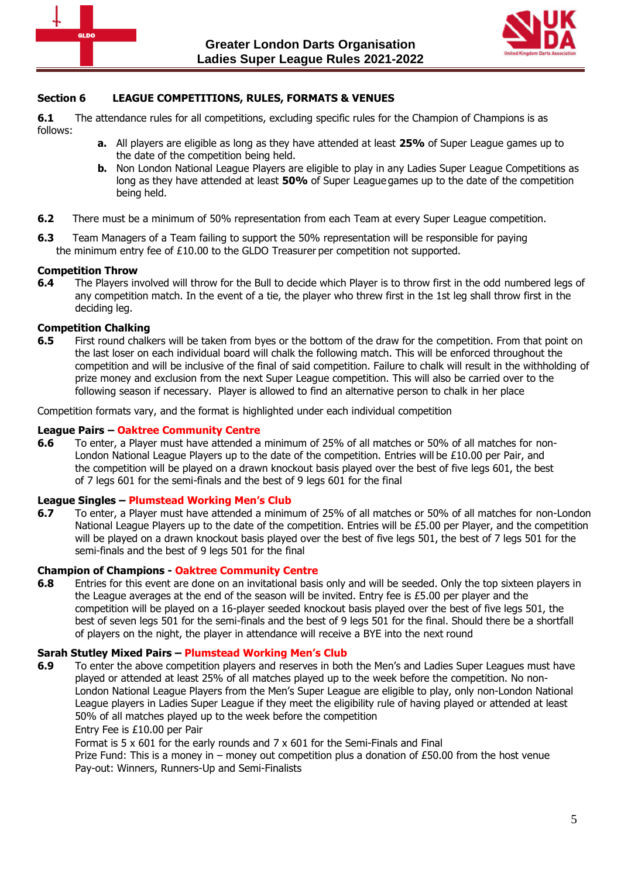



### **Section 6 LEAGUE COMPETITIONS, RULES, FORMATS & VENUES**

**6.1** The attendance rules for all competitions, excluding specific rules for the Champion of Champions is as follows:

- **a.** All players are eligible as long as they have attended at least **25%** of Super League games up to the date of the competition being held.
- **b.** Non London National League Players are eligible to play in any Ladies Super League Competitions as long as they have attended at least **50%** of Super League games up to the date of the competition being held.
- **6.2** There must be a minimum of 50% representation from each Team at every Super League competition.
- **6.3** Team Managers of a Team failing to support the 50% representation will be responsible for paying the minimum entry fee of £10.00 to the GLDO Treasurer per competition not supported.

#### **Competition Throw**

**6.4** The Players involved will throw for the Bull to decide which Player is to throw first in the odd numbered legs of any competition match. In the event of a tie, the player who threw first in the 1st leg shall throw first in the deciding leg.

### **Competition Chalking**

**6.5** First round chalkers will be taken from byes or the bottom of the draw for the competition. From that point on the last loser on each individual board will chalk the following match. This will be enforced throughout the competition and will be inclusive of the final of said competition. Failure to chalk will result in the withholding of prize money and exclusion from the next Super League competition. This will also be carried over to the following season if necessary. Player is allowed to find an alternative person to chalk in her place

Competition formats vary, and the format is highlighted under each individual competition

#### **League Pairs – Oaktree Community Centre**

**6.6** To enter, a Player must have attended a minimum of 25% of all matches or 50% of all matches for non-London National League Players up to the date of the competition. Entries will be £10.00 per Pair, and the competition will be played on a drawn knockout basis played over the best of five legs 601, the best of 7 legs 601 for the semi-finals and the best of 9 legs 601 for the final

#### **League Singles – Plumstead Working Men's Club**

**6.7** To enter, a Player must have attended a minimum of 25% of all matches or 50% of all matches for non-London National League Players up to the date of the competition. Entries will be £5.00 per Player, and the competition will be played on a drawn knockout basis played over the best of five legs 501, the best of 7 legs 501 for the semi-finals and the best of 9 legs 501 for the final

#### **Champion of Champions - Oaktree Community Centre**

**6.8** Entries for this event are done on an invitational basis only and will be seeded. Only the top sixteen players in the League averages at the end of the season will be invited. Entry fee is £5.00 per player and the competition will be played on a 16-player seeded knockout basis played over the best of five legs 501, the best of seven legs 501 for the semi-finals and the best of 9 legs 501 for the final. Should there be a shortfall of players on the night, the player in attendance will receive a BYE into the next round

### **Sarah Stutley Mixed Pairs – Plumstead Working Men's Club**

**6.9** To enter the above competition players and reserves in both the Men's and Ladies Super Leagues must have played or attended at least 25% of all matches played up to the week before the competition. No non-London National League Players from the Men's Super League are eligible to play, only non-London National League players in Ladies Super League if they meet the eligibility rule of having played or attended at least 50% of all matches played up to the week before the competition Entry Fee is £10.00 per Pair

Format is 5 x 601 for the early rounds and 7 x 601 for the Semi-Finals and Final Prize Fund: This is a money in – money out competition plus a donation of £50.00 from the host venue Pay-out: Winners, Runners-Up and Semi-Finalists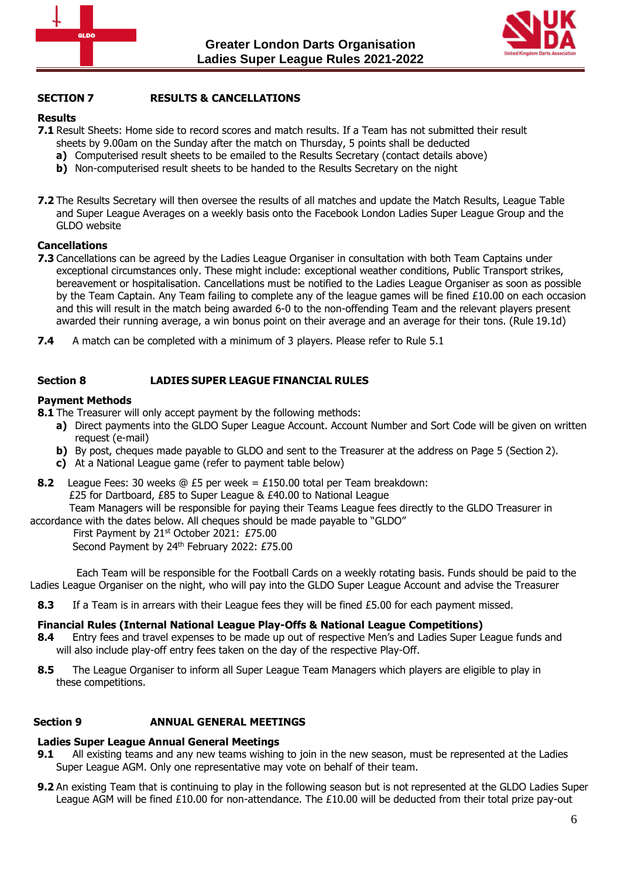



# **SECTION 7 RESULTS & CANCELLATIONS**

# **Results**

- **7.1** Result Sheets: Home side to record scores and match results. If a Team has not submitted their result
	- sheets by 9.00am on the Sunday after the match on Thursday, 5 points shall be deducted
	- **a)** Computerised result sheets to be emailed to the Results Secretary (contact details above)
	- **b)** Non-computerised result sheets to be handed to the Results Secretary on the night
- **7.2** The Results Secretary will then oversee the results of all matches and update the Match Results, League Table and Super League Averages on a weekly basis onto the Facebook London Ladies Super League Group and the GLDO website

# **Cancellations**

- **7.3** Cancellations can be agreed by the Ladies League Organiser in consultation with both Team Captains under exceptional circumstances only. These might include: exceptional weather conditions, Public Transport strikes, bereavement or hospitalisation. Cancellations must be notified to the Ladies League Organiser as soon as possible by the Team Captain. Any Team failing to complete any of the league games will be fined £10.00 on each occasion and this will result in the match being awarded 6-0 to the non-offending Team and the relevant players present awarded their running average, a win bonus point on their average and an average for their tons. (Rule 19.1d)
- **7.4** A match can be completed with a minimum of 3 players. Please refer to Rule 5.1

# **Section 8 LADIES SUPER LEAGUE FINANCIAL RULES**

# **Payment Methods**

**8.1** The Treasurer will only accept payment by the following methods:

- **a)** Direct payments into the GLDO Super League Account. Account Number and Sort Code will be given on written request (e-mail)
- **b)** By post, cheques made payable to GLDO and sent to the Treasurer at the address on Page 5 (Section 2).
- **c)** At a National League game (refer to payment table below)
- **8.2** League Fees: 30 weeks @ £5 per week = £150.00 total per Team breakdown: £25 for Dartboard, £85 to Super League & £40.00 to National League Team Managers will be responsible for paying their Teams League fees directly to the GLDO Treasurer in accordance with the dates below. All cheques should be made payable to "GLDO"

First Payment by 21<sup>st</sup> October 2021: £75.00 Second Payment by 24th February 2022: £75.00

 Each Team will be responsible for the Football Cards on a weekly rotating basis. Funds should be paid to the Ladies League Organiser on the night, who will pay into the GLDO Super League Account and advise the Treasurer

**8.3** If a Team is in arrears with their League fees they will be fined £5.00 for each payment missed.

### **Financial Rules (Internal National League Play-Offs & National League Competitions)**

- **8.4** Entry fees and travel expenses to be made up out of respective Men's and Ladies Super League funds and will also include play-off entry fees taken on the day of the respective Play-Off.
- **8.5** The League Organiser to inform all Super League Team Managers which players are eligible to play in these competitions.

### **Section 9 ANNUAL GENERAL MEETINGS**

### **Ladies Super League Annual General Meetings**

- **9.1** All existing teams and any new teams wishing to join in the new season, must be represented at the Ladies Super League AGM. Only one representative may vote on behalf of their team.
- **9.2** An existing Team that is continuing to play in the following season but is not represented at the GLDO Ladies Super League AGM will be fined £10.00 for non-attendance. The £10.00 will be deducted from their total prize pay-out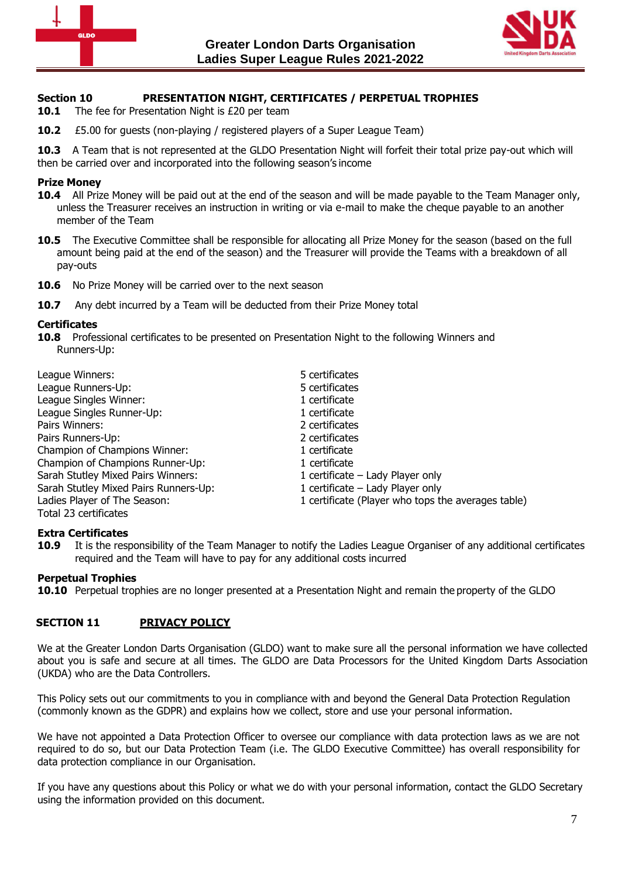



### **Section 10 PRESENTATION NIGHT, CERTIFICATES / PERPETUAL TROPHIES**

- **10.1** The fee for Presentation Night is £20 per team
- **10.2** £5.00 for guests (non-playing / registered players of a Super League Team)

**10.3** A Team that is not represented at the GLDO Presentation Night will forfeit their total prize pay-out which will then be carried over and incorporated into the following season's income

#### **Prize Money**

- **10.4** All Prize Money will be paid out at the end of the season and will be made payable to the Team Manager only, unless the Treasurer receives an instruction in writing or via e-mail to make the cheque payable to an another member of the Team
- **10.5** The Executive Committee shall be responsible for allocating all Prize Money for the season (based on the full amount being paid at the end of the season) and the Treasurer will provide the Teams with a breakdown of all pay-outs
- **10.6** No Prize Money will be carried over to the next season
- **10.7** Any debt incurred by a Team will be deducted from their Prize Money total

#### **Certificates**

**10.8** Professional certificates to be presented on Presentation Night to the following Winners and Runners-Up:

| League Winners:                       | 5 certificates                                     |
|---------------------------------------|----------------------------------------------------|
| League Runners-Up:                    | 5 certificates                                     |
| League Singles Winner:                | 1 certificate                                      |
| League Singles Runner-Up:             | 1 certificate                                      |
| Pairs Winners:                        | 2 certificates                                     |
| Pairs Runners-Up:                     | 2 certificates                                     |
| Champion of Champions Winner:         | 1 certificate                                      |
| Champion of Champions Runner-Up:      | 1 certificate                                      |
| Sarah Stutley Mixed Pairs Winners:    | 1 certificate – Lady Player only                   |
| Sarah Stutley Mixed Pairs Runners-Up: | 1 certificate - Lady Player only                   |
| Ladies Player of The Season:          | 1 certificate (Player who tops the averages table) |
| Total 23 certificates                 |                                                    |

### **Extra Certificates**

**10.9** It is the responsibility of the Team Manager to notify the Ladies League Organiser of any additional certificates required and the Team will have to pay for any additional costs incurred

### **Perpetual Trophies**

**10.10** Perpetual trophies are no longer presented at a Presentation Night and remain the property of the GLDO

### **SECTION 11 PRIVACY POLICY**

We at the Greater London Darts Organisation (GLDO) want to make sure all the personal information we have collected about you is safe and secure at all times. The GLDO are Data Processors for the United Kingdom Darts Association (UKDA) who are the Data Controllers.

This Policy sets out our commitments to you in compliance with and beyond the General Data Protection Regulation (commonly known as the GDPR) and explains how we collect, store and use your personal information.

We have not appointed a Data Protection Officer to oversee our compliance with data protection laws as we are not required to do so, but our Data Protection Team (i.e. The GLDO Executive Committee) has overall responsibility for data protection compliance in our Organisation.

If you have any questions about this Policy or what we do with your personal information, contact the GLDO Secretary using the information provided on this document.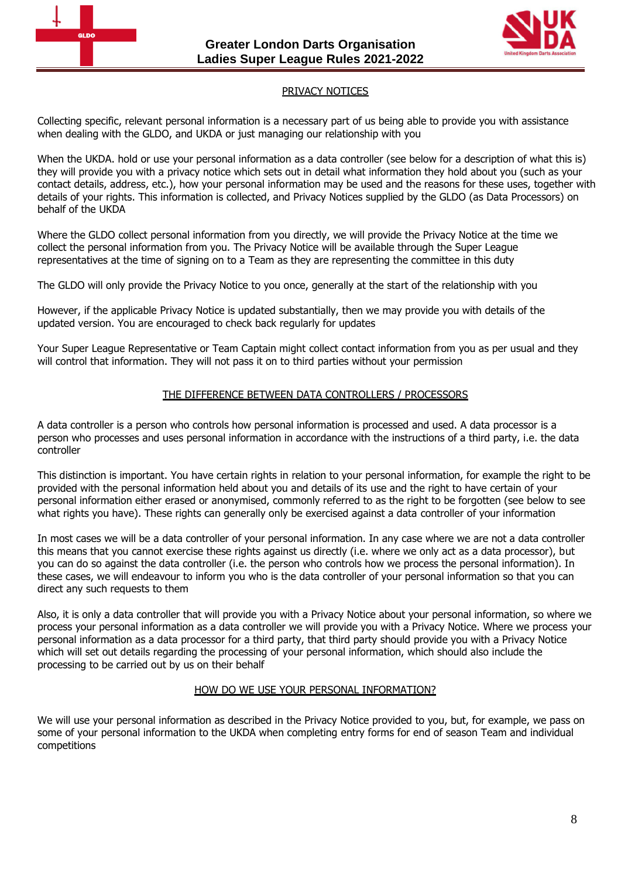



### PRIVACY NOTICES

Collecting specific, relevant personal information is a necessary part of us being able to provide you with assistance when dealing with the GLDO, and UKDA or just managing our relationship with you

When the UKDA. hold or use your personal information as a data controller (see below for a description of what this is) they will provide you with a privacy notice which sets out in detail what information they hold about you (such as your contact details, address, etc.), how your personal information may be used and the reasons for these uses, together with details of your rights. This information is collected, and Privacy Notices supplied by the GLDO (as Data Processors) on behalf of the UKDA

Where the GLDO collect personal information from you directly, we will provide the Privacy Notice at the time we collect the personal information from you. The Privacy Notice will be available through the Super League representatives at the time of signing on to a Team as they are representing the committee in this duty

The GLDO will only provide the Privacy Notice to you once, generally at the start of the relationship with you

However, if the applicable Privacy Notice is updated substantially, then we may provide you with details of the updated version. You are encouraged to check back regularly for updates

Your Super League Representative or Team Captain might collect contact information from you as per usual and they will control that information. They will not pass it on to third parties without your permission

### THE DIFFERENCE BETWEEN DATA CONTROLLERS / PROCESSORS

A data controller is a person who controls how personal information is processed and used. A data processor is a person who processes and uses personal information in accordance with the instructions of a third party, i.e. the data controller

This distinction is important. You have certain rights in relation to your personal information, for example the right to be provided with the personal information held about you and details of its use and the right to have certain of your personal information either erased or anonymised, commonly referred to as the right to be forgotten (see below to see what rights you have). These rights can generally only be exercised against a data controller of your information

In most cases we will be a data controller of your personal information. In any case where we are not a data controller this means that you cannot exercise these rights against us directly (i.e. where we only act as a data processor), but you can do so against the data controller (i.e. the person who controls how we process the personal information). In these cases, we will endeavour to inform you who is the data controller of your personal information so that you can direct any such requests to them

Also, it is only a data controller that will provide you with a Privacy Notice about your personal information, so where we process your personal information as a data controller we will provide you with a Privacy Notice. Where we process your personal information as a data processor for a third party, that third party should provide you with a Privacy Notice which will set out details regarding the processing of your personal information, which should also include the processing to be carried out by us on their behalf

### HOW DO WE USE YOUR PERSONAL INFORMATION?

We will use your personal information as described in the Privacy Notice provided to you, but, for example, we pass on some of your personal information to the UKDA when completing entry forms for end of season Team and individual competitions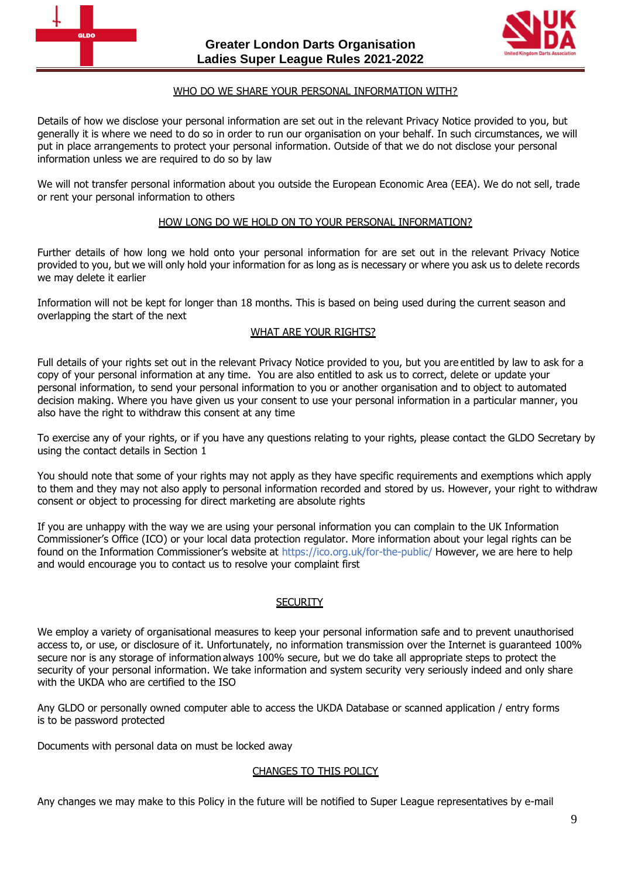



# **)** WHO DO WE SHARE YOUR PERSONAL INFORMATION WITH?

Details of how we disclose your personal information are set out in the relevant Privacy Notice provided to you, but generally it is where we need to do so in order to run our organisation on your behalf. In such circumstances, we will put in place arrangements to protect your personal information. Outside of that we do not disclose your personal information unless we are required to do so by law

We will not transfer personal information about you outside the European Economic Area (EEA). We do not sell, trade or rent your personal information to others

#### HOW LONG DO WE HOLD ON TO YOUR PERSONAL INFORMATION?

Further details of how long we hold onto your personal information for are set out in the relevant Privacy Notice provided to you, but we will only hold your information for as long as is necessary or where you ask us to delete records we may delete it earlier

Information will not be kept for longer than 18 months. This is based on being used during the current season and overlapping the start of the next

#### WHAT ARE YOUR RIGHTS?

Full details of your rights set out in the relevant Privacy Notice provided to you, but you are entitled by law to ask for a copy of your personal information at any time. You are also entitled to ask us to correct, delete or update your personal information, to send your personal information to you or another organisation and to object to automated decision making. Where you have given us your consent to use your personal information in a particular manner, you also have the right to withdraw this consent at any time

To exercise any of your rights, or if you have any questions relating to your rights, please contact the GLDO Secretary by using the contact details in Section 1

You should note that some of your rights may not apply as they have specific requirements and exemptions which apply to them and they may not also apply to personal information recorded and stored by us. However, your right to withdraw consent or object to processing for direct marketing are absolute rights

If you are unhappy with the way we are using your personal information you can complain to the UK Information Commissioner's Office (ICO) or your local data protection regulator. More information about your legal rights can be found on the Information Commissioner's website at <https://ico.org.uk/for-the-public/> However, we are here to help and would encourage you to contact us to resolve your complaint first

#### **SECURITY**

We employ a variety of organisational measures to keep your personal information safe and to prevent unauthorised access to, or use, or disclosure of it. Unfortunately, no information transmission over the Internet is guaranteed 100% secure nor is any storage of information always 100% secure, but we do take all appropriate steps to protect the security of your personal information. We take information and system security very seriously indeed and only share with the UKDA who are certified to the ISO

Any GLDO or personally owned computer able to access the UKDA Database or scanned application / entry forms is to be password protected

Documents with personal data on must be locked away

### CHANGES TO THIS POLICY

Any changes we may make to this Policy in the future will be notified to Super League representatives by e-mail